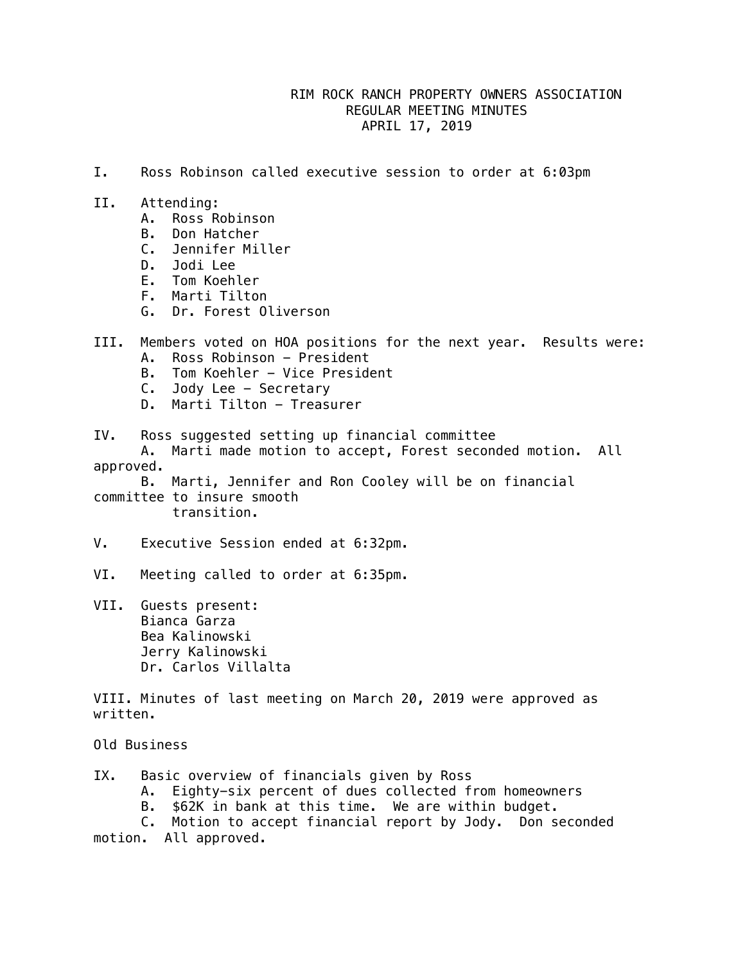## RIM ROCK RANCH PROPERTY OWNERS ASSOCIATION REGULAR MEETING MINUTES APRIL 17, 2019

- I. Ross Robinson called executive session to order at 6:03pm
- II. Attending:
	- A. Ross Robinson
	- B. Don Hatcher
	- C. Jennifer Miller
	- D. Jodi Lee
	- E. Tom Koehler
	- F. Marti Tilton
	- G. Dr. Forest Oliverson
- III. Members voted on HOA positions for the next year. Results were: A. Ross Robinson - President
	- B. Tom Koehler Vice President
	- C. Jody Lee Secretary
	- D. Marti Tilton Treasurer

IV. Ross suggested setting up financial committee

 A. Marti made motion to accept, Forest seconded motion. All approved.

 B. Marti, Jennifer and Ron Cooley will be on financial committee to insure smooth transition.

V. Executive Session ended at 6:32pm.

- VI. Meeting called to order at 6:35pm.
- VII. Guests present: Bianca Garza Bea Kalinowski Jerry Kalinowski Dr. Carlos Villalta

VIII. Minutes of last meeting on March 20, 2019 were approved as written.

Old Business

- IX. Basic overview of financials given by Ross
	- A. Eighty-six percent of dues collected from homeowners
	- B. \$62K in bank at this time. We are within budget.

 C. Motion to accept financial report by Jody. Don seconded motion. All approved.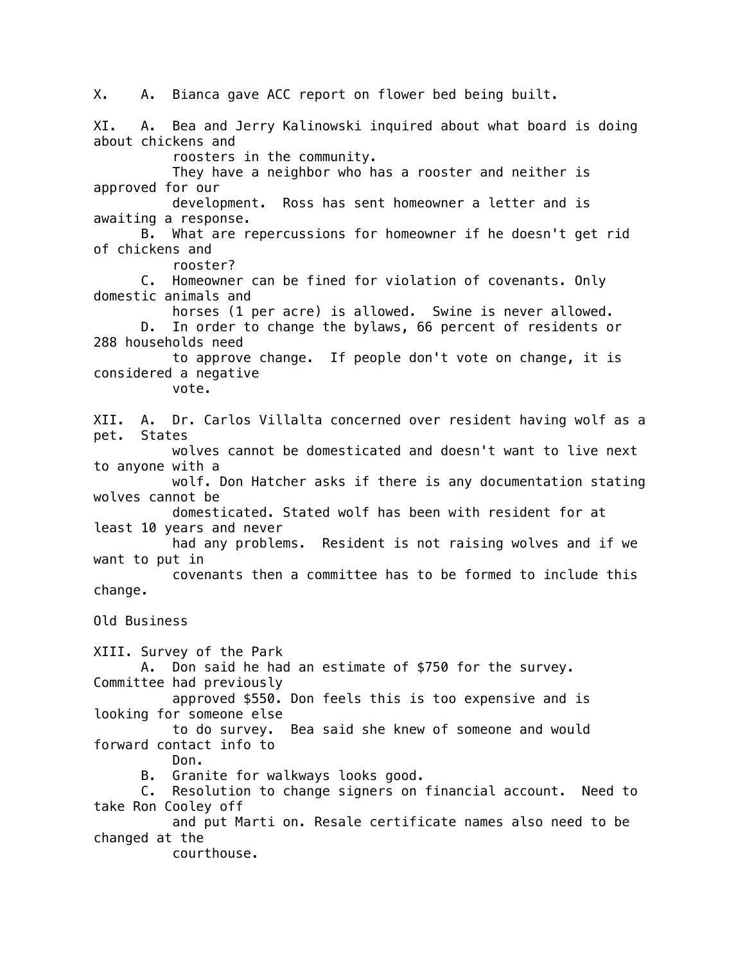X. A. Bianca gave ACC report on flower bed being built. XI. A. Bea and Jerry Kalinowski inquired about what board is doing about chickens and roosters in the community. They have a neighbor who has a rooster and neither is approved for our development. Ross has sent homeowner a letter and is awaiting a response. B. What are repercussions for homeowner if he doesn't get rid of chickens and rooster? C. Homeowner can be fined for violation of covenants. Only domestic animals and horses (1 per acre) is allowed. Swine is never allowed. D. In order to change the bylaws, 66 percent of residents or 288 households need to approve change. If people don't vote on change, it is considered a negative vote. XII. A. Dr. Carlos Villalta concerned over resident having wolf as a pet. States wolves cannot be domesticated and doesn't want to live next to anyone with a wolf. Don Hatcher asks if there is any documentation stating wolves cannot be domesticated. Stated wolf has been with resident for at least 10 years and never had any problems. Resident is not raising wolves and if we want to put in covenants then a committee has to be formed to include this change. Old Business XIII. Survey of the Park A. Don said he had an estimate of \$750 for the survey. Committee had previously approved \$550. Don feels this is too expensive and is looking for someone else to do survey. Bea said she knew of someone and would forward contact info to Don. B. Granite for walkways looks good. C. Resolution to change signers on financial account. Need to take Ron Cooley off and put Marti on. Resale certificate names also need to be changed at the courthouse.